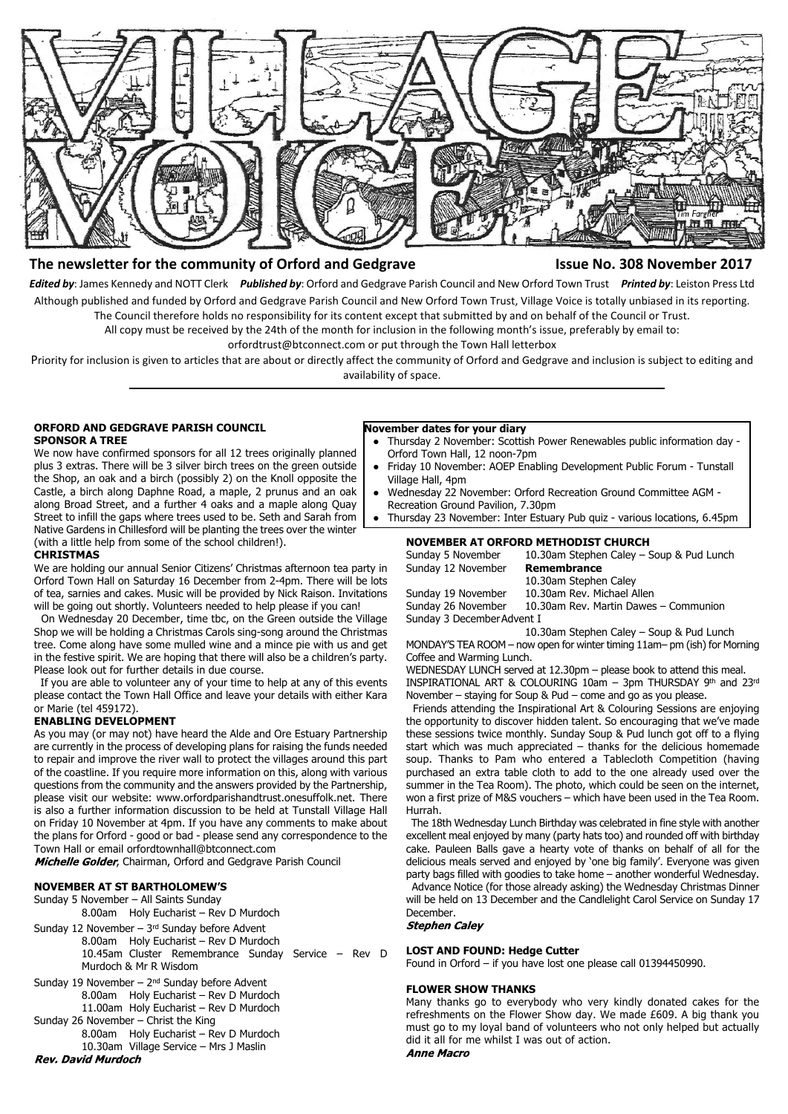

# **The newsletter for the community of Orford and Gedgrave Issue No. 308 November 2017**

*Edited by*: James Kennedy and NOTT Clerk *Published by*: Orford and Gedgrave Parish Council and New Orford Town Trust *Printed by*: Leiston Press Ltd Although published and funded by Orford and Gedgrave Parish Council and New Orford Town Trust, Village Voice is totally unbiased in its reporting. The Council therefore holds no responsibility for its content except that submitted by and on behalf of the Council or Trust.

All copy must be received by the 24th of the month for inclusion in the following month's issue, preferably by email to:

orfordtrust@btconnect.com or put through the Town Hall letterbox

Priority for inclusion is given to articles that are about or directly affect the community of Orford and Gedgrave and inclusion is subject to editing and availability of space.

# **ORFORD AND GEDGRAVE PARISH COUNCIL SPONSOR A TREE**

We now have confirmed sponsors for all 12 trees originally planned plus 3 extras. There will be 3 silver birch trees on the green outside the Shop, an oak and a birch (possibly 2) on the Knoll opposite the Castle, a birch along Daphne Road, a maple, 2 prunus and an oak along Broad Street, and a further 4 oaks and a maple along Quay Street to infill the gaps where trees used to be. Seth and Sarah from Native Gardens in Chillesford will be planting the trees over the winter (with a little help from some of the school children!).

#### **CHRISTMAS**

We are holding our annual Senior Citizens' Christmas afternoon tea party in Orford Town Hall on Saturday 16 December from 2-4pm. There will be lots of tea, sarnies and cakes. Music will be provided by Nick Raison. Invitations will be going out shortly. Volunteers needed to help please if you can!

 On Wednesday 20 December, time tbc, on the Green outside the Village Shop we will be holding a Christmas Carols sing-song around the Christmas tree. Come along have some mulled wine and a mince pie with us and get in the festive spirit. We are hoping that there will also be a children's party. Please look out for further details in due course.

 If you are able to volunteer any of your time to help at any of this events please contact the Town Hall Office and leave your details with either Kara or Marie (tel 459172).

# **ENABLING DEVELOPMENT**

As you may (or may not) have heard the Alde and Ore Estuary Partnership are currently in the process of developing plans for raising the funds needed to repair and improve the river wall to protect the villages around this part of the coastline. If you require more information on this, along with various questions from the community and the answers provided by the Partnership, please visit our website: www.orfordparishandtrust.onesuffolk.net. There is also a further information discussion to be held at Tunstall Village Hall on Friday 10 November at 4pm. If you have any comments to make about the plans for Orford - good or bad - please send any correspondence to the Town Hall or email orfordtownhall@btconnect.com

Michelle Golder, Chairman, Orford and Gedgrave Parish Council

#### **NOVEMBER AT ST BARTHOLOMEW'S**

Sunday 5 November – All Saints Sunday 8.00am Holy Eucharist – Rev D Murdoch

- Sunday 12 November  $3<sup>rd</sup>$  Sunday before Advent 8.00am Holy Eucharist – Rev D Murdoch 10.45am Cluster Remembrance Sunday Service – Rev D Murdoch & Mr R Wisdom
- Sunday 19 November  $2<sup>nd</sup>$  Sunday before Advent 8.00am Holy Eucharist – Rev D Murdoch 11.00am Holy Eucharist – Rev D Murdoch
- Sunday 26 November Christ the King 8.00am Holy Eucharist – Rev D Murdoch
- 10.30am Village Service Mrs J Maslin<br>Rev. David Murdoch

# **November dates for your diary**

- Thursday 2 November: Scottish Power Renewables public information day -Orford Town Hall, 12 noon-7pm
- Friday 10 November: AOEP Enabling Development Public Forum Tunstall Village Hall, 4pm
- Wednesday 22 November: Orford Recreation Ground Committee AGM -Recreation Ground Pavilion, 7.30pm
- Thursday 23 November: Inter Estuary Pub quiz various locations, 6.45pm

#### **NOVEMBER AT ORFORD METHODIST CHURCH**

Sunday 5 November 10.30am Stephen Caley – Soup & Pud Lunch Sunday 12 November **Remembrance**

10.30am Stephen Caley Sunday 19 November 10.30am Rev. Michael Allen<br>Sunday 26 November 10.30am Rev. Martin Dawes

10.30am Rev. Martin Dawes – Communion Sunday 3 December Advent I

10.30am Stephen Caley – Soup & Pud Lunch MONDAY'S TEA ROOM – now open for winter timing 11am– pm (ish) for Morning Coffee and Warming Lunch.

WEDNESDAY LUNCH served at 12.30pm – please book to attend this meal. INSPIRATIONAL ART & COLOURING 10am - 3pm THURSDAY 9th and 23rd November – staying for Soup & Pud – come and go as you please.

 Friends attending the Inspirational Art & Colouring Sessions are enjoying the opportunity to discover hidden talent. So encouraging that we've made these sessions twice monthly. Sunday Soup & Pud lunch got off to a flying start which was much appreciated – thanks for the delicious homemade soup. Thanks to Pam who entered a Tablecloth Competition (having purchased an extra table cloth to add to the one already used over the summer in the Tea Room). The photo, which could be seen on the internet, won a first prize of M&S vouchers – which have been used in the Tea Room. Hurrah.

 The 18th Wednesday Lunch Birthday was celebrated in fine style with another excellent meal enjoyed by many (party hats too) and rounded off with birthday cake. Pauleen Balls gave a hearty vote of thanks on behalf of all for the delicious meals served and enjoyed by 'one big family'. Everyone was given party bags filled with goodies to take home – another wonderful Wednesday. Advance Notice (for those already asking) the Wednesday Christmas Dinner will be held on 13 December and the Candlelight Carol Service on Sunday 17 December.<br>Stephen Caley

#### **LOST AND FOUND: Hedge Cutter**

Found in Orford – if you have lost one please call 01394450990.

#### **FLOWER SHOW THANKS**

Many thanks go to everybody who very kindly donated cakes for the refreshments on the Flower Show day. We made £609. A big thank you must go to my loyal band of volunteers who not only helped but actually did it all for me whilst I was out of action. **Anne Macro**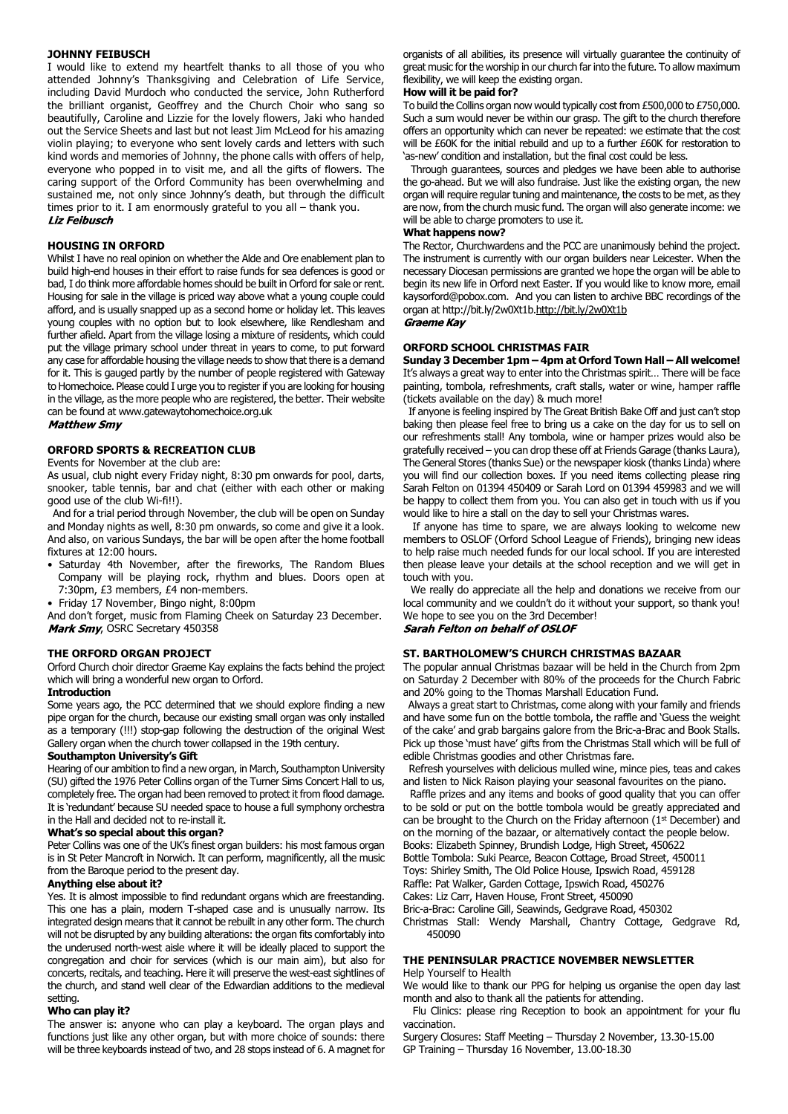### **JOHNNY FEIBUSCH**

I would like to extend my heartfelt thanks to all those of you who attended Johnny's Thanksgiving and Celebration of Life Service, including David Murdoch who conducted the service, John Rutherford the brilliant organist, Geoffrey and the Church Choir who sang so beautifully, Caroline and Lizzie for the lovely flowers, Jaki who handed out the Service Sheets and last but not least Jim McLeod for his amazing violin playing; to everyone who sent lovely cards and letters with such kind words and memories of Johnny, the phone calls with offers of help, everyone who popped in to visit me, and all the gifts of flowers. The caring support of the Orford Community has been overwhelming and sustained me, not only since Johnny's death, but through the difficult times prior to it. I am enormously grateful to you all – thank you. **Liz Feibusch** 

### **HOUSING IN ORFORD**

Whilst I have no real opinion on whether the Alde and Ore enablement plan to build high-end houses in their effort to raise funds for sea defences is good or bad, I do think more affordable homes should be built in Orford for sale or rent. Housing for sale in the village is priced way above what a young couple could afford, and is usually snapped up as a second home or holiday let. This leaves young couples with no option but to look elsewhere, like Rendlesham and further afield. Apart from the village losing a mixture of residents, which could put the village primary school under threat in years to come, to put forward any case for affordable housing the village needs to show that there is a demand for it. This is gauged partly by the number of people registered with Gateway to Homechoice. Please could I urge you to register if you are looking for housing in the village, as the more people who are registered, the better. Their website can be found at www.gatewaytohomechoice.org.uk<br>Matthew Smy

# **ORFORD SPORTS & RECREATION CLUB**

Events for November at the club are:

As usual, club night every Friday night, 8:30 pm onwards for pool, darts, snooker, table tennis, bar and chat (either with each other or making good use of the club Wi-fi!!).

 And for a trial period through November, the club will be open on Sunday and Monday nights as well, 8:30 pm onwards, so come and give it a look. And also, on various Sundays, the bar will be open after the home football fixtures at 12:00 hours.

- Saturday 4th November, after the fireworks, The Random Blues Company will be playing rock, rhythm and blues. Doors open at 7:30pm, £3 members, £4 non-members.
- Friday 17 November, Bingo night, 8:00pm

And don't forget, music from Flaming Cheek on Saturday 23 December. Mark Smy, OSRC Secretary 450358

#### **THE ORFORD ORGAN PROJECT**

Orford Church choir director Graeme Kay explains the facts behind the project which will bring a wonderful new organ to Orford.

#### **Introduction**

Some years ago, the PCC determined that we should explore finding a new pipe organ for the church, because our existing small organ was only installed as a temporary (!!!) stop-gap following the destruction of the original West Gallery organ when the church tower collapsed in the 19th century.

#### **Southampton University's Gift**

Hearing of our ambition to find a new organ, in March, Southampton University (SU) gifted the 1976 Peter Collins organ of the Turner Sims Concert Hall to us, completely free. The organ had been removed to protect it from flood damage. It is 'redundant' because SU needed space to house a full symphony orchestra in the Hall and decided not to re-install it.

# **What's so special about this organ?**

Peter Collins was one of the UK's finest organ builders: his most famous organ is in St Peter Mancroft in Norwich. It can perform, magnificently, all the music from the Baroque period to the present day.

#### **Anything else about it?**

Yes. It is almost impossible to find redundant organs which are freestanding. This one has a plain, modern T-shaped case and is unusually narrow. Its integrated design means that it cannot be rebuilt in any other form. The church will not be disrupted by any building alterations: the organ fits comfortably into the underused north-west aisle where it will be ideally placed to support the congregation and choir for services (which is our main aim), but also for concerts, recitals, and teaching. Here it will preserve the west-east sightlines of the church, and stand well clear of the Edwardian additions to the medieval setting.

#### **Who can play it?**

The answer is: anyone who can play a keyboard. The organ plays and functions just like any other organ, but with more choice of sounds: there will be three keyboards instead of two, and 28 stops instead of 6. A magnet for organists of all abilities, its presence will virtually guarantee the continuity of great music for the worship in our church far into the future. To allow maximum flexibility, we will keep the existing organ.

# **How will it be paid for?**

To build the Collins organ now would typically cost from £500,000 to £750,000. Such a sum would never be within our grasp. The gift to the church therefore offers an opportunity which can never be repeated: we estimate that the cost will be £60K for the initial rebuild and up to a further £60K for restoration to 'as-new' condition and installation, but the final cost could be less.

 Through guarantees, sources and pledges we have been able to authorise the go-ahead. But we will also fundraise. Just like the existing organ, the new organ will require regular tuning and maintenance, the costs to be met, as they are now, from the church music fund. The organ will also generate income: we will be able to charge promoters to use it.

# **What happens now?**

The Rector, Churchwardens and the PCC are unanimously behind the project. The instrument is currently with our organ builders near Leicester. When the necessary Diocesan permissions are granted we hope the organ will be able to begin its new life in Orford next Easter. If you would like to know more, email kaysorford@pobox.com. And you can listen to archive BBC recordings of the organ at http://bit.ly/2w0Xt1b.http://bit.ly/2w0Xt1b

# Graeme Kav

#### **ORFORD SCHOOL CHRISTMAS FAIR**

**Sunday 3 December 1pm – 4pm at Orford Town Hall – All welcome!** It's always a great way to enter into the Christmas spirit… There will be face painting, tombola, refreshments, craft stalls, water or wine, hamper raffle (tickets available on the day) & much more!

 If anyone is feeling inspired by The Great British Bake Off and just can't stop baking then please feel free to bring us a cake on the day for us to sell on our refreshments stall! Any tombola, wine or hamper prizes would also be gratefully received – you can drop these off at Friends Garage (thanks Laura), The General Stores (thanks Sue) or the newspaper kiosk (thanks Linda) where you will find our collection boxes. If you need items collecting please ring Sarah Felton on 01394 450409 or Sarah Lord on 01394 459983 and we will be happy to collect them from you. You can also get in touch with us if you would like to hire a stall on the day to sell your Christmas wares.

 If anyone has time to spare, we are always looking to welcome new members to OSLOF (Orford School League of Friends), bringing new ideas to help raise much needed funds for our local school. If you are interested then please leave your details at the school reception and we will get in touch with you.

 We really do appreciate all the help and donations we receive from our local community and we couldn't do it without your support, so thank you! We hope to see you on the 3rd December! Sarah Felton on behalf of OSLOF

# **ST. BARTHOLOMEW'S CHURCH CHRISTMAS BAZAAR**

The popular annual Christmas bazaar will be held in the Church from 2pm on Saturday 2 December with 80% of the proceeds for the Church Fabric and 20% going to the Thomas Marshall Education Fund.

 Always a great start to Christmas, come along with your family and friends and have some fun on the bottle tombola, the raffle and 'Guess the weight of the cake' and grab bargains galore from the Bric-a-Brac and Book Stalls. Pick up those 'must have' gifts from the Christmas Stall which will be full of edible Christmas goodies and other Christmas fare.

 Refresh yourselves with delicious mulled wine, mince pies, teas and cakes and listen to Nick Raison playing your seasonal favourites on the piano.

 Raffle prizes and any items and books of good quality that you can offer to be sold or put on the bottle tombola would be greatly appreciated and can be brought to the Church on the Friday afternoon  $(1<sup>st</sup>$  December) and on the morning of the bazaar, or alternatively contact the people below. Books: Elizabeth Spinney, Brundish Lodge, High Street, 450622 Bottle Tombola: Suki Pearce, Beacon Cottage, Broad Street, 450011 Toys: Shirley Smith, The Old Police House, Ipswich Road, 459128 Raffle: Pat Walker, Garden Cottage, Ipswich Road, 450276 Cakes: Liz Carr, Haven House, Front Street, 450090

Bric-a-Brac: Caroline Gill, Seawinds, Gedgrave Road, 450302 Christmas Stall: Wendy Marshall, Chantry Cottage, Gedgrave Rd, 450090

#### **THE PENINSULAR PRACTICE NOVEMBER NEWSLETTER** Help Yourself to Health

We would like to thank our PPG for helping us organise the open day last month and also to thank all the patients for attending.

 Flu Clinics: please ring Reception to book an appointment for your flu vaccination.

Surgery Closures: Staff Meeting – Thursday 2 November, 13.30-15.00 GP Training – Thursday 16 November, 13.00-18.30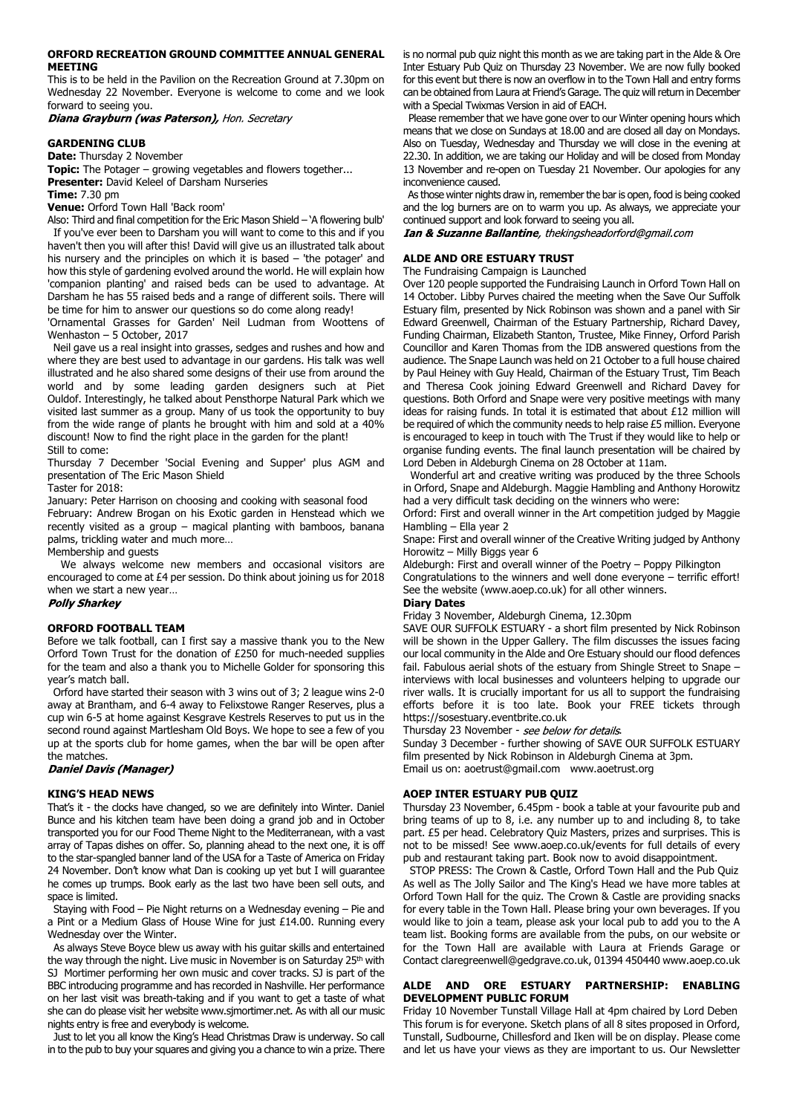#### **ORFORD RECREATION GROUND COMMITTEE ANNUAL GENERAL MEETING**

This is to be held in the Pavilion on the Recreation Ground at 7.30pm on Wednesday 22 November. Everyone is welcome to come and we look forward to seeing you.

Diana Grayburn (was Paterson), Hon. Secretary

# **GARDENING CLUB**

**Date:** Thursday 2 November

**Topic:** The Potager – growing vegetables and flowers together... **Presenter:** David Keleel of Darsham Nurseries

**Time:** 7.30 pm

**Venue:** Orford Town Hall 'Back room'

Also: Third and final competition for the Eric Mason Shield – 'A flowering bulb' If you've ever been to Darsham you will want to come to this and if you haven't then you will after this! David will give us an illustrated talk about his nursery and the principles on which it is based – 'the potager' and how this style of gardening evolved around the world. He will explain how 'companion planting' and raised beds can be used to advantage. At Darsham he has 55 raised beds and a range of different soils. There will be time for him to answer our questions so do come along ready!

'Ornamental Grasses for Garden' Neil Ludman from Woottens of Wenhaston – 5 October, 2017

 Neil gave us a real insight into grasses, sedges and rushes and how and where they are best used to advantage in our gardens. His talk was well illustrated and he also shared some designs of their use from around the world and by some leading garden designers such at Piet Ouldof. Interestingly, he talked about Pensthorpe Natural Park which we visited last summer as a group. Many of us took the opportunity to buy from the wide range of plants he brought with him and sold at a 40% discount! Now to find the right place in the garden for the plant! Still to come:

Thursday 7 December 'Social Evening and Supper' plus AGM and presentation of The Eric Mason Shield

Taster for 2018:

January: Peter Harrison on choosing and cooking with seasonal food

February: Andrew Brogan on his Exotic garden in Henstead which we recently visited as a group – magical planting with bamboos, banana palms, trickling water and much more…

Membership and guests

We always welcome new members and occasional visitors are encouraged to come at £4 per session. Do think about joining us for 2018 when we start a new year…

# **Polly Sharkey**

# **ORFORD FOOTBALL TEAM**

Before we talk football, can I first say a massive thank you to the New Orford Town Trust for the donation of £250 for much-needed supplies for the team and also a thank you to Michelle Golder for sponsoring this year's match ball.

 Orford have started their season with 3 wins out of 3; 2 league wins 2-0 away at Brantham, and 6-4 away to Felixstowe Ranger Reserves, plus a cup win 6-5 at home against Kesgrave Kestrels Reserves to put us in the second round against Martlesham Old Boys. We hope to see a few of you up at the sports club for home games, when the bar will be open after the matches.

**Daniel Davis (Manager)** 

#### **KING'S HEAD NEWS**

That's it - the clocks have changed, so we are definitely into Winter. Daniel Bunce and his kitchen team have been doing a grand job and in October transported you for our Food Theme Night to the Mediterranean, with a vast array of Tapas dishes on offer. So, planning ahead to the next one, it is off to the star-spangled banner land of the USA for a Taste of America on Friday 24 November. Don't know what Dan is cooking up yet but I will guarantee he comes up trumps. Book early as the last two have been sell outs, and space is limited.

 Staying with Food – Pie Night returns on a Wednesday evening – Pie and a Pint or a Medium Glass of House Wine for just £14.00. Running every Wednesday over the Winter.

 As always Steve Boyce blew us away with his guitar skills and entertained the way through the night. Live music in November is on Saturday 25<sup>th</sup> with SJ Mortimer performing her own music and cover tracks. SJ is part of the BBC introducing programme and has recorded in Nashville. Her performance on her last visit was breath-taking and if you want to get a taste of what she can do please visit her website www.sjmortimer.net. As with all our music nights entry is free and everybody is welcome.

 Just to let you all know the King's Head Christmas Draw is underway. So call in to the pub to buy your squares and giving you a chance to win a prize. There is no normal pub quiz night this month as we are taking part in the Alde & Ore Inter Estuary Pub Quiz on Thursday 23 November. We are now fully booked for this event but there is now an overflow in to the Town Hall and entry forms can be obtained from Laura at Friend's Garage. The quiz will return in December with a Special Twixmas Version in aid of EACH.

 Please remember that we have gone over to our Winter opening hours which means that we close on Sundays at 18.00 and are closed all day on Mondays. Also on Tuesday, Wednesday and Thursday we will close in the evening at 22.30. In addition, we are taking our Holiday and will be closed from Monday 13 November and re-open on Tuesday 21 November. Our apologies for any inconvenience caused.

 As those winter nights draw in, remember the bar is open, food is being cooked and the log burners are on to warm you up. As always, we appreciate your continued support and look forward to seeing you all.

Ian & Suzanne Ballantine, thekingsheadorford@gmail.com

# **ALDE AND ORE ESTUARY TRUST**

The Fundraising Campaign is Launched

Over 120 people supported the Fundraising Launch in Orford Town Hall on 14 October. Libby Purves chaired the meeting when the Save Our Suffolk Estuary film, presented by Nick Robinson was shown and a panel with Sir Edward Greenwell, Chairman of the Estuary Partnership, Richard Davey, Funding Chairman, Elizabeth Stanton, Trustee, Mike Finney, Orford Parish Councillor and Karen Thomas from the IDB answered questions from the audience. The Snape Launch was held on 21 October to a full house chaired by Paul Heiney with Guy Heald, Chairman of the Estuary Trust, Tim Beach and Theresa Cook joining Edward Greenwell and Richard Davey for questions. Both Orford and Snape were very positive meetings with many ideas for raising funds. In total it is estimated that about £12 million will be required of which the community needs to help raise £5 million. Everyone is encouraged to keep in touch with The Trust if they would like to help or organise funding events. The final launch presentation will be chaired by Lord Deben in Aldeburgh Cinema on 28 October at 11am.

 Wonderful art and creative writing was produced by the three Schools in Orford, Snape and Aldeburgh. Maggie Hambling and Anthony Horowitz had a very difficult task deciding on the winners who were:

Orford: First and overall winner in the Art competition judged by Maggie Hambling – Ella year 2

Snape: First and overall winner of the Creative Writing judged by Anthony Horowitz – Milly Biggs year 6

Aldeburgh: First and overall winner of the Poetry – Poppy Pilkington Congratulations to the winners and well done everyone – terrific effort! See the website (www.aoep.co.uk) for all other winners.

# **Diary Dates**

Friday 3 November, Aldeburgh Cinema, 12.30pm

SAVE OUR SUFFOLK ESTUARY - a short film presented by Nick Robinson will be shown in the Upper Gallery. The film discusses the issues facing our local community in the Alde and Ore Estuary should our flood defences fail. Fabulous aerial shots of the estuary from Shingle Street to Snape – interviews with local businesses and volunteers helping to upgrade our river walls. It is crucially important for us all to support the fundraising efforts before it is too late. Book your FREE tickets through https://sosestuary.eventbrite.co.uk

Thursday 23 November - see below for details.

Sunday 3 December - further showing of SAVE OUR SUFFOLK ESTUARY film presented by Nick Robinson in Aldeburgh Cinema at 3pm. Email us on: aoetrust@gmail.com www.aoetrust.org

#### **AOEP INTER ESTUARY PUB QUIZ**

Thursday 23 November, 6.45pm - book a table at your favourite pub and bring teams of up to 8, i.e. any number up to and including 8, to take part. £5 per head. Celebratory Quiz Masters, prizes and surprises. This is not to be missed! See www.aoep.co.uk/events for full details of every pub and restaurant taking part. Book now to avoid disappointment.

 STOP PRESS: The Crown & Castle, Orford Town Hall and the Pub Quiz As well as The Jolly Sailor and The King's Head we have more tables at Orford Town Hall for the quiz. The Crown & Castle are providing snacks for every table in the Town Hall. Please bring your own beverages. If you would like to join a team, please ask your local pub to add you to the A team list. Booking forms are available from the pubs, on our website or for the Town Hall are available with Laura at Friends Garage or Contact claregreenwell@gedgrave.co.uk, 01394 450440 www.aoep.co.uk

# **ALDE AND ORE ESTUARY PARTNERSHIP: ENABLING DEVELOPMENT PUBLIC FORUM**

Friday 10 November Tunstall Village Hall at 4pm chaired by Lord Deben This forum is for everyone. Sketch plans of all 8 sites proposed in Orford, Tunstall, Sudbourne, Chillesford and Iken will be on display. Please come and let us have your views as they are important to us. Our Newsletter